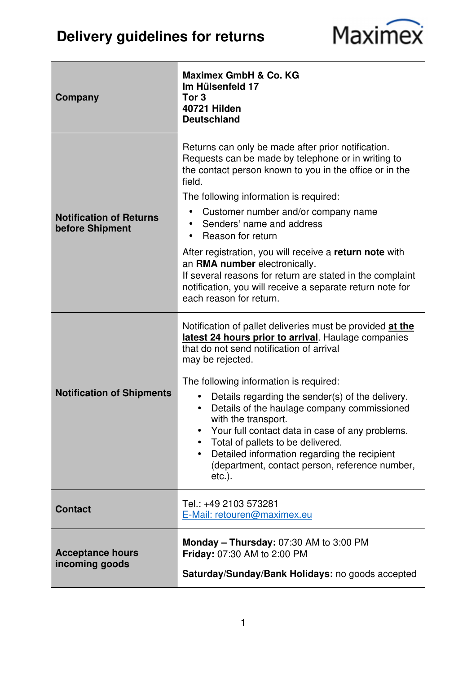## **Delivery guidelines for returns**



| Company                                           | Maximex GmbH & Co. KG<br>Im Hülsenfeld 17<br>Tor 3<br><b>40721 Hilden</b><br><b>Deutschland</b>                                                                                                                                                                                                                                                                                                                                                                                                                                                                                                                 |
|---------------------------------------------------|-----------------------------------------------------------------------------------------------------------------------------------------------------------------------------------------------------------------------------------------------------------------------------------------------------------------------------------------------------------------------------------------------------------------------------------------------------------------------------------------------------------------------------------------------------------------------------------------------------------------|
| <b>Notification of Returns</b><br>before Shipment | Returns can only be made after prior notification.<br>Requests can be made by telephone or in writing to<br>the contact person known to you in the office or in the<br>field.<br>The following information is required:<br>Customer number and/or company name<br>Senders' name and address<br>Reason for return<br>$\bullet$<br>After registration, you will receive a return note with<br>an RMA number electronically.<br>If several reasons for return are stated in the complaint<br>notification, you will receive a separate return note for<br>each reason for return.                                  |
| <b>Notification of Shipments</b>                  | Notification of pallet deliveries must be provided at the<br>latest 24 hours prior to arrival. Haulage companies<br>that do not send notification of arrival<br>may be rejected.<br>The following information is required:<br>Details regarding the sender(s) of the delivery.<br>$\bullet$<br>Details of the haulage company commissioned<br>$\bullet$<br>with the transport.<br>Your full contact data in case of any problems.<br>Total of pallets to be delivered.<br>$\bullet$<br>Detailed information regarding the recipient<br>$\bullet$<br>(department, contact person, reference number,<br>$etc.$ ). |
| <b>Contact</b>                                    | Tel.: +49 2103 573281<br>E-Mail: retouren@maximex.eu                                                                                                                                                                                                                                                                                                                                                                                                                                                                                                                                                            |
| <b>Acceptance hours</b><br>incoming goods         | Monday $-$ Thursday: 07:30 AM to 3:00 PM<br><b>Friday: 07:30 AM to 2:00 PM</b><br>Saturday/Sunday/Bank Holidays: no goods accepted                                                                                                                                                                                                                                                                                                                                                                                                                                                                              |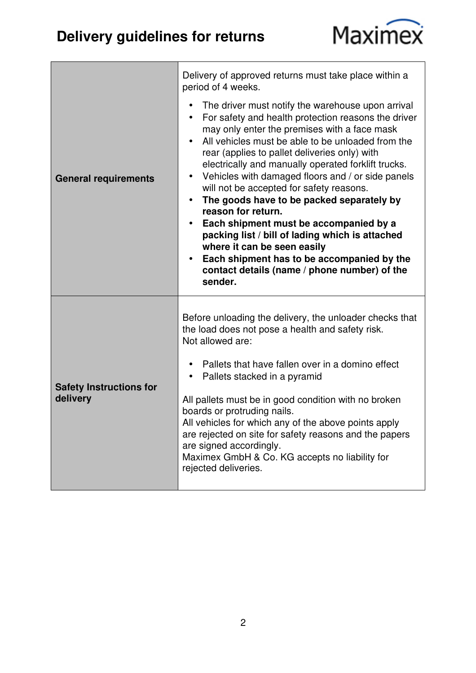## **Delivery guidelines for returns**



| <b>General requirements</b>                | Delivery of approved returns must take place within a<br>period of 4 weeks.<br>The driver must notify the warehouse upon arrival<br>$\bullet$<br>For safety and health protection reasons the driver<br>$\bullet$<br>may only enter the premises with a face mask<br>All vehicles must be able to be unloaded from the<br>$\bullet$<br>rear (applies to pallet deliveries only) with<br>electrically and manually operated forklift trucks.<br>Vehicles with damaged floors and / or side panels<br>will not be accepted for safety reasons.<br>The goods have to be packed separately by<br>$\bullet$<br>reason for return.<br>Each shipment must be accompanied by a<br>packing list / bill of lading which is attached<br>where it can be seen easily<br>Each shipment has to be accompanied by the<br>$\bullet$<br>contact details (name / phone number) of the<br>sender. |
|--------------------------------------------|--------------------------------------------------------------------------------------------------------------------------------------------------------------------------------------------------------------------------------------------------------------------------------------------------------------------------------------------------------------------------------------------------------------------------------------------------------------------------------------------------------------------------------------------------------------------------------------------------------------------------------------------------------------------------------------------------------------------------------------------------------------------------------------------------------------------------------------------------------------------------------|
| <b>Safety Instructions for</b><br>delivery | Before unloading the delivery, the unloader checks that<br>the load does not pose a health and safety risk.<br>Not allowed are:<br>Pallets that have fallen over in a domino effect<br>Pallets stacked in a pyramid<br>All pallets must be in good condition with no broken<br>boards or protruding nails.<br>All vehicles for which any of the above points apply<br>are rejected on site for safety reasons and the papers<br>are signed accordingly.<br>Maximex GmbH & Co. KG accepts no liability for<br>rejected deliveries.                                                                                                                                                                                                                                                                                                                                              |